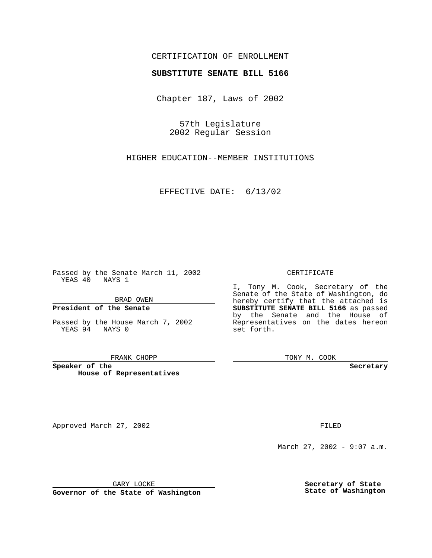## CERTIFICATION OF ENROLLMENT

# **SUBSTITUTE SENATE BILL 5166**

Chapter 187, Laws of 2002

57th Legislature 2002 Regular Session

HIGHER EDUCATION--MEMBER INSTITUTIONS

EFFECTIVE DATE: 6/13/02

Passed by the Senate March 11, 2002 YEAS 40 NAYS 1

BRAD OWEN

## **President of the Senate**

Passed by the House March 7, 2002 YEAS 94 NAYS 0

#### FRANK CHOPP

**Speaker of the House of Representatives**

Approved March 27, 2002 **FILED** 

#### CERTIFICATE

I, Tony M. Cook, Secretary of the Senate of the State of Washington, do hereby certify that the attached is **SUBSTITUTE SENATE BILL 5166** as passed by the Senate and the House of Representatives on the dates hereon set forth.

TONY M. COOK

**Secretary**

March 27, 2002 - 9:07 a.m.

GARY LOCKE

**Governor of the State of Washington**

**Secretary of State State of Washington**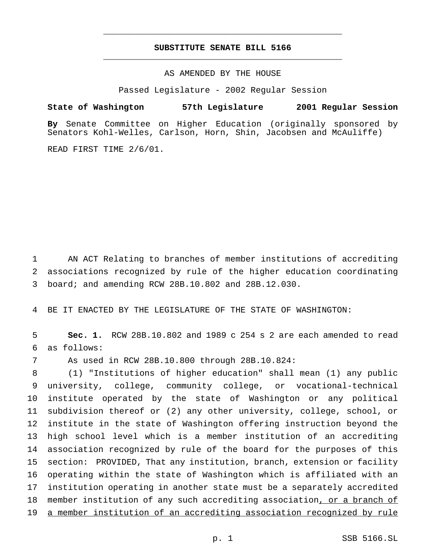## **SUBSTITUTE SENATE BILL 5166** \_\_\_\_\_\_\_\_\_\_\_\_\_\_\_\_\_\_\_\_\_\_\_\_\_\_\_\_\_\_\_\_\_\_\_\_\_\_\_\_\_\_\_\_\_\_\_

\_\_\_\_\_\_\_\_\_\_\_\_\_\_\_\_\_\_\_\_\_\_\_\_\_\_\_\_\_\_\_\_\_\_\_\_\_\_\_\_\_\_\_\_\_\_\_

## AS AMENDED BY THE HOUSE

Passed Legislature - 2002 Regular Session

### **State of Washington 57th Legislature 2001 Regular Session**

**By** Senate Committee on Higher Education (originally sponsored by Senators Kohl-Welles, Carlson, Horn, Shin, Jacobsen and McAuliffe)

READ FIRST TIME 2/6/01.

 AN ACT Relating to branches of member institutions of accrediting associations recognized by rule of the higher education coordinating board; and amending RCW 28B.10.802 and 28B.12.030.

BE IT ENACTED BY THE LEGISLATURE OF THE STATE OF WASHINGTON:

 **Sec. 1.** RCW 28B.10.802 and 1989 c 254 s 2 are each amended to read as follows:

As used in RCW 28B.10.800 through 28B.10.824:

 (1) "Institutions of higher education" shall mean (1) any public university, college, community college, or vocational-technical institute operated by the state of Washington or any political subdivision thereof or (2) any other university, college, school, or institute in the state of Washington offering instruction beyond the high school level which is a member institution of an accrediting association recognized by rule of the board for the purposes of this section: PROVIDED, That any institution, branch, extension or facility operating within the state of Washington which is affiliated with an institution operating in another state must be a separately accredited 18 member institution of any such accrediting association, or a branch of a member institution of an accrediting association recognized by rule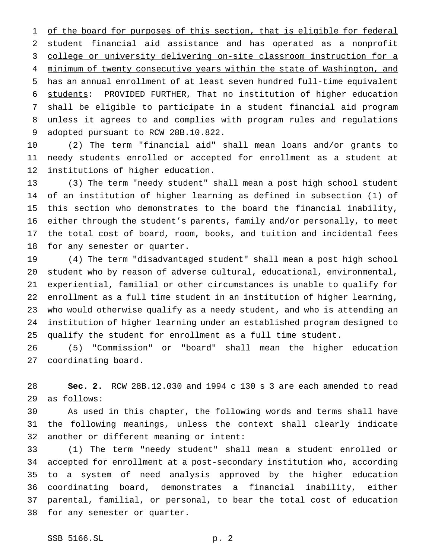1 of the board for purposes of this section, that is eligible for federal student financial aid assistance and has operated as a nonprofit college or university delivering on-site classroom instruction for a 4 minimum of twenty consecutive years within the state of Washington, and has an annual enrollment of at least seven hundred full-time equivalent students: PROVIDED FURTHER, That no institution of higher education shall be eligible to participate in a student financial aid program unless it agrees to and complies with program rules and regulations adopted pursuant to RCW 28B.10.822.

 (2) The term "financial aid" shall mean loans and/or grants to needy students enrolled or accepted for enrollment as a student at institutions of higher education.

 (3) The term "needy student" shall mean a post high school student of an institution of higher learning as defined in subsection (1) of this section who demonstrates to the board the financial inability, either through the student's parents, family and/or personally, to meet the total cost of board, room, books, and tuition and incidental fees for any semester or quarter.

 (4) The term "disadvantaged student" shall mean a post high school student who by reason of adverse cultural, educational, environmental, experiential, familial or other circumstances is unable to qualify for enrollment as a full time student in an institution of higher learning, who would otherwise qualify as a needy student, and who is attending an institution of higher learning under an established program designed to qualify the student for enrollment as a full time student.

 (5) "Commission" or "board" shall mean the higher education coordinating board.

 **Sec. 2.** RCW 28B.12.030 and 1994 c 130 s 3 are each amended to read as follows:

 As used in this chapter, the following words and terms shall have the following meanings, unless the context shall clearly indicate another or different meaning or intent:

 (1) The term "needy student" shall mean a student enrolled or accepted for enrollment at a post-secondary institution who, according to a system of need analysis approved by the higher education coordinating board, demonstrates a financial inability, either parental, familial, or personal, to bear the total cost of education for any semester or quarter.